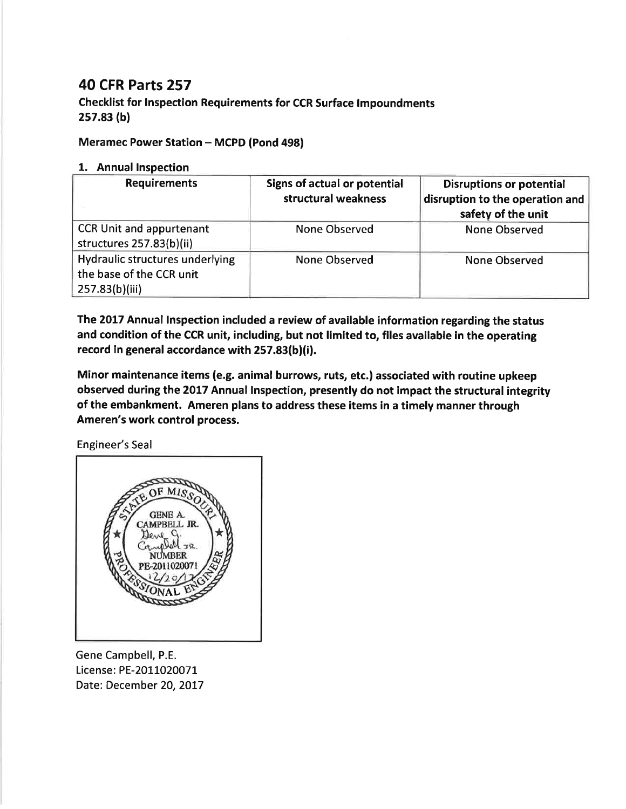## 40 CFR Parts 257

Checklist for lnspection Requirements for CCR Surface lmpoundments 2s7.83 (bl

## Meramec Power Station - MCPD (Pond 498)

## 1. Annual lnspection

| <b>Requirements</b>                                                           | Signs of actual or potential<br>structural weakness | <b>Disruptions or potential</b><br>disruption to the operation and<br>safety of the unit |
|-------------------------------------------------------------------------------|-----------------------------------------------------|------------------------------------------------------------------------------------------|
| <b>CCR Unit and appurtenant</b><br>structures 257.83(b)(ii)                   | None Observed                                       | None Observed                                                                            |
| Hydraulic structures underlying<br>the base of the CCR unit<br>257.83(b)(iii) | <b>None Observed</b>                                | <b>None Observed</b>                                                                     |

The 2017 Annual Inspection included a review of available information regarding the status and condition of the CCR unit, including, but not limited to, files available in the operating record in general accordance with 257.83(b)(i).

Minor maintenance items (e.g. animal burrows, ruts, etc.) associated with routine upkeep observed during the 2017 Annual lnspection, presently do not impact the structural integrity of the embankment. Ameren plans to address these items in a timely manner through Ameren's work control process.

Engineer's Seal



Gene Campbell, P.E. License: PE-2011020071 Date: December 20, 2017